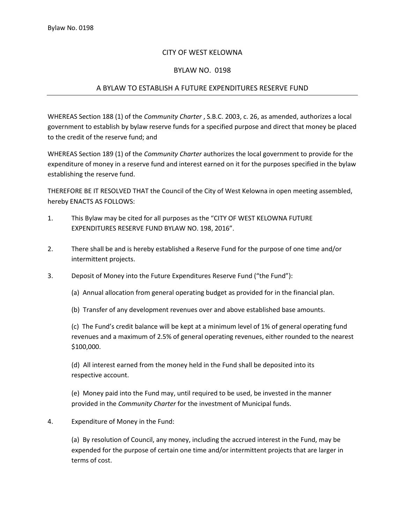## CITY OF WEST KELOWNA

## BYLAW NO. 0198

## A BYLAW TO ESTABLISH A FUTURE EXPENDITURES RESERVE FUND

WHEREAS Section 188 (1) of the *Community Charter* , S.B.C. 2003, c. 26, as amended, authorizes a local government to establish by bylaw reserve funds for a specified purpose and direct that money be placed to the credit of the reserve fund; and

WHEREAS Section 189 (1) of the *Community Charter* authorizes the local government to provide for the expenditure of money in a reserve fund and interest earned on it for the purposes specified in the bylaw establishing the reserve fund.

THEREFORE BE IT RESOLVED THAT the Council of the City of West Kelowna in open meeting assembled, hereby ENACTS AS FOLLOWS:

- 1. This Bylaw may be cited for all purposes as the "CITY OF WEST KELOWNA FUTURE EXPENDITURES RESERVE FUND BYLAW NO. 198, 2016".
- 2. There shall be and is hereby established a Reserve Fund for the purpose of one time and/or intermittent projects.
- 3. Deposit of Money into the Future Expenditures Reserve Fund ("the Fund"):
	- (a) Annual allocation from general operating budget as provided for in the financial plan.
	- (b) Transfer of any development revenues over and above established base amounts.

(c) The Fund's credit balance will be kept at a minimum level of 1% of general operating fund revenues and a maximum of 2.5% of general operating revenues, either rounded to the nearest \$100,000.

(d) All interest earned from the money held in the Fund shall be deposited into its respective account.

(e) Money paid into the Fund may, until required to be used, be invested in the manner provided in the *Community Charter* for the investment of Municipal funds.

4. Expenditure of Money in the Fund:

(a) By resolution of Council, any money, including the accrued interest in the Fund, may be expended for the purpose of certain one time and/or intermittent projects that are larger in terms of cost.